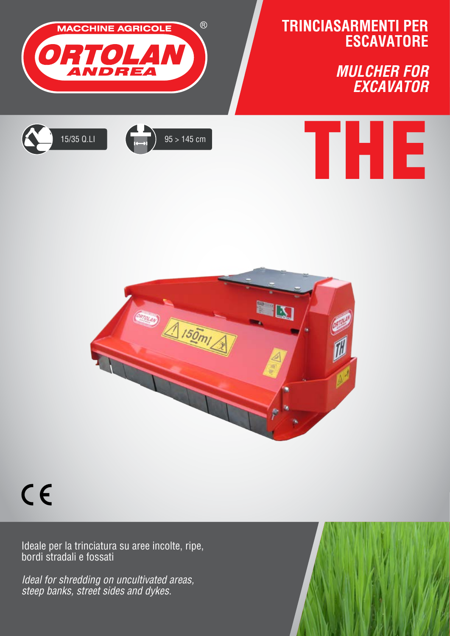



## $C \in$

Ideale per la trinciatura su aree incolte, ripe, bordi stradali e fossati

*Ideal for shredding on uncultivated areas, steep banks, street sides and dykes.*